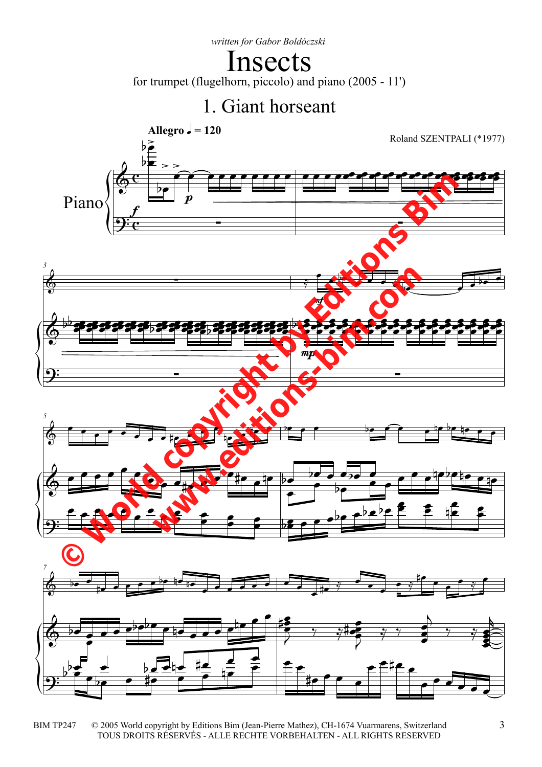written for Gabor Boldóczski

## Insects

for trumpet (flugelhorn, piccolo) and piano (2005 - 11')

## 1. Giant horseant

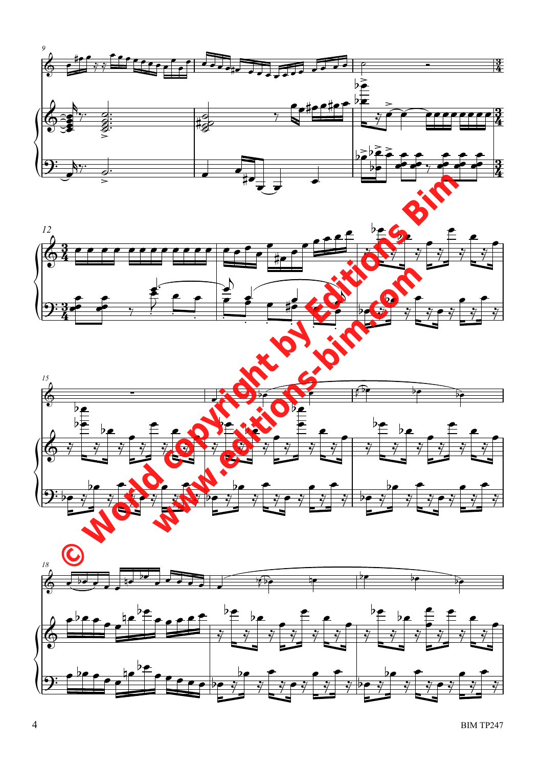

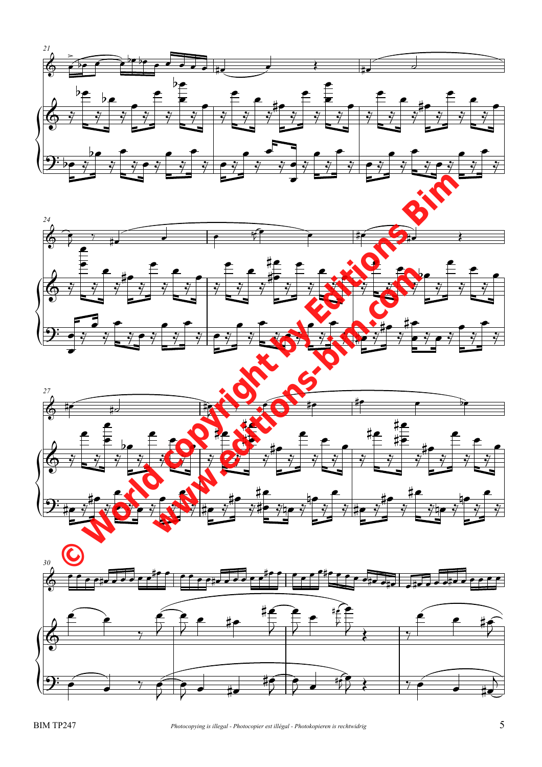



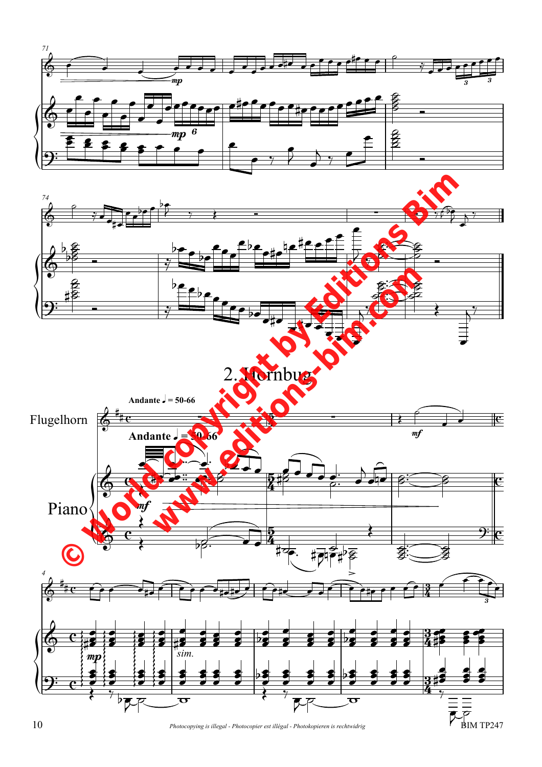

Photocopying is illegal - Photocopier est illégal - Photokopieren is rechtwidrig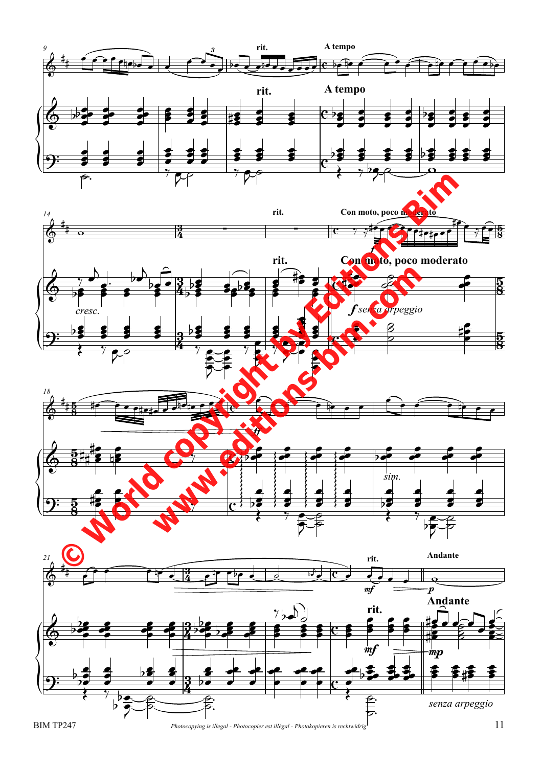

Photocopying is illegal - Photocopier est illégal - Photokopieren is rechtwidrig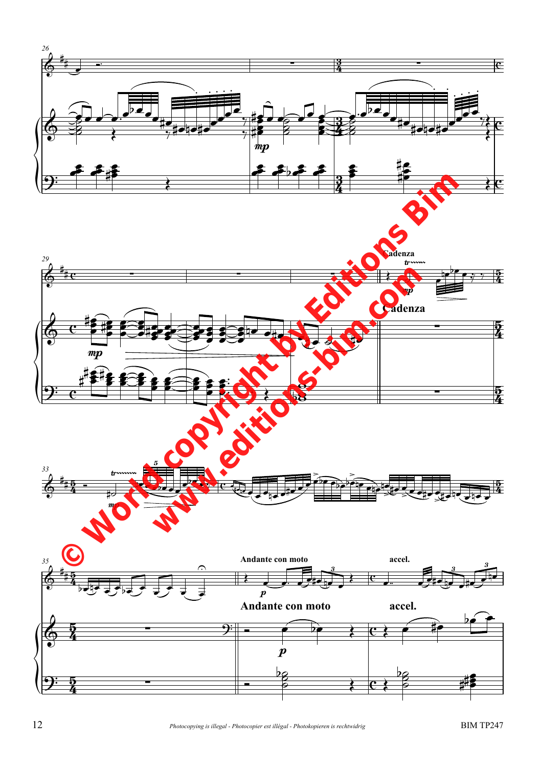![](_page_5_Figure_0.jpeg)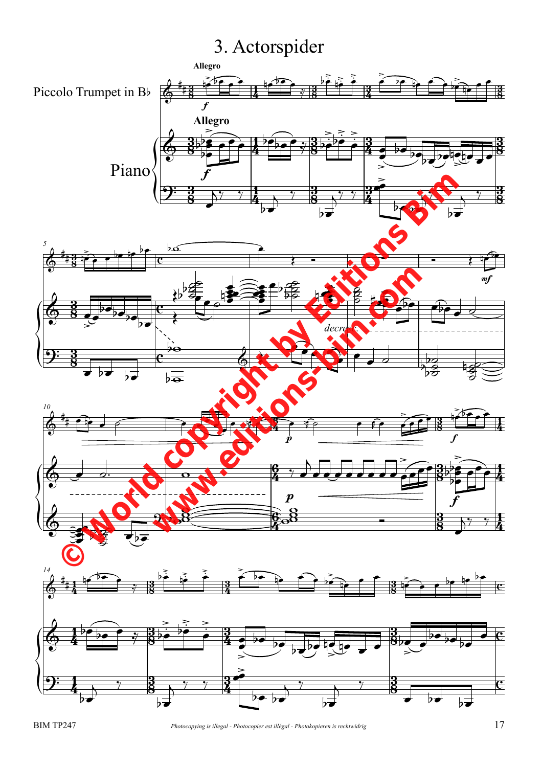## 3. Actorspider

![](_page_6_Figure_1.jpeg)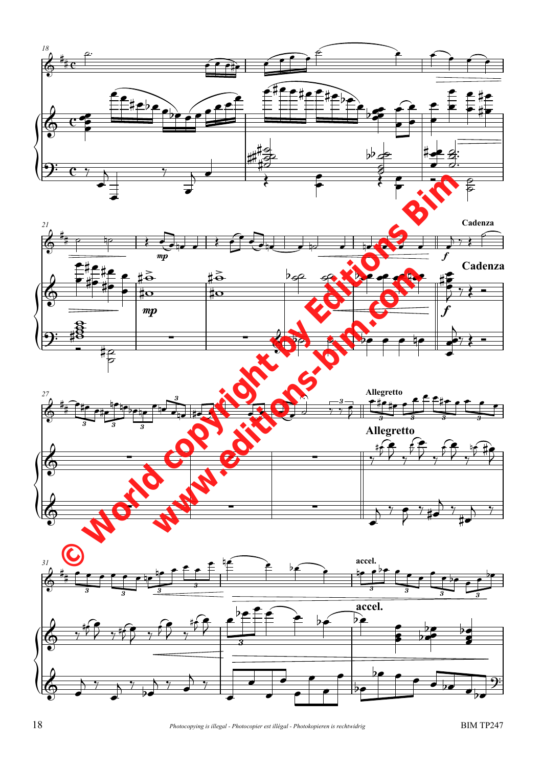![](_page_7_Figure_0.jpeg)